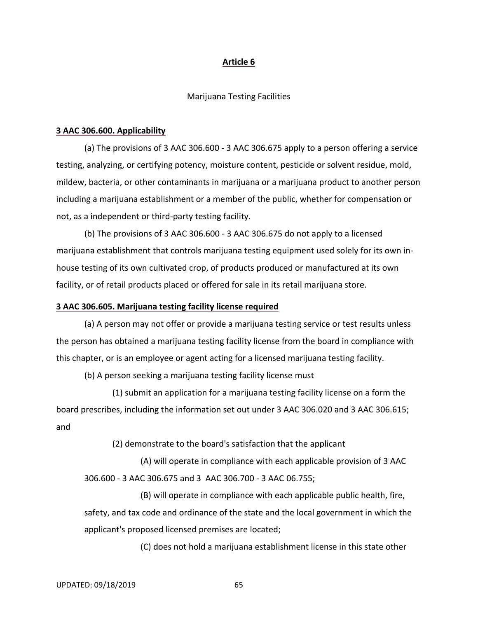## **Article 6**

#### Marijuana Testing Facilities

### **3 AAC 306.600. Applicability**

(a) The provisions of 3 AAC 306.600 ‐ 3 AAC 306.675 apply to a person offering a service testing, analyzing, or certifying potency, moisture content, pesticide or solvent residue, mold, mildew, bacteria, or other contaminants in marijuana or a marijuana product to another person including a marijuana establishment or a member of the public, whether for compensation or not, as a independent or third‐party testing facility.

(b) The provisions of 3 AAC 306.600 ‐ 3 AAC 306.675 do not apply to a licensed marijuana establishment that controls marijuana testing equipment used solely for its own in‐ house testing of its own cultivated crop, of products produced or manufactured at its own facility, or of retail products placed or offered for sale in its retail marijuana store.

### **3 AAC 306.605. Marijuana testing facility license required**

(a) A person may not offer or provide a marijuana testing service or test results unless the person has obtained a marijuana testing facility license from the board in compliance with this chapter, or is an employee or agent acting for a licensed marijuana testing facility.

(b) A person seeking a marijuana testing facility license must

(1) submit an application for a marijuana testing facility license on a form the board prescribes, including the information set out under 3 AAC 306.020 and 3 AAC 306.615; and

(2) demonstrate to the board's satisfaction that the applicant

(A) will operate in compliance with each applicable provision of 3 AAC 306.600 ‐ 3 AAC 306.675 and 3 AAC 306.700 ‐ 3 AAC 06.755;

(B) will operate in compliance with each applicable public health, fire, safety, and tax code and ordinance of the state and the local government in which the applicant's proposed licensed premises are located;

(C) does not hold a marijuana establishment license in this state other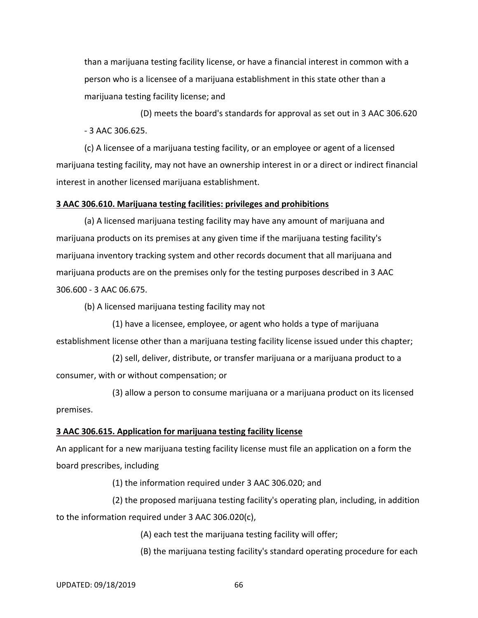than a marijuana testing facility license, or have a financial interest in common with a person who is a licensee of a marijuana establishment in this state other than a marijuana testing facility license; and

(D) meets the board's standards for approval as set out in 3 AAC 306.620 ‐ 3 AAC 306.625.

(c) A licensee of a marijuana testing facility, or an employee or agent of a licensed marijuana testing facility, may not have an ownership interest in or a direct or indirect financial interest in another licensed marijuana establishment.

### **3 AAC 306.610. Marijuana testing facilities: privileges and prohibitions**

(a) A licensed marijuana testing facility may have any amount of marijuana and marijuana products on its premises at any given time if the marijuana testing facility's marijuana inventory tracking system and other records document that all marijuana and marijuana products are on the premises only for the testing purposes described in 3 AAC 306.600 ‐ 3 AAC 06.675.

(b) A licensed marijuana testing facility may not

(1) have a licensee, employee, or agent who holds a type of marijuana establishment license other than a marijuana testing facility license issued under this chapter;

(2) sell, deliver, distribute, or transfer marijuana or a marijuana product to a consumer, with or without compensation; or

(3) allow a person to consume marijuana or a marijuana product on its licensed premises.

### **3 AAC 306.615. Application for marijuana testing facility license**

An applicant for a new marijuana testing facility license must file an application on a form the board prescribes, including

(1) the information required under 3 AAC 306.020; and

(2) the proposed marijuana testing facility's operating plan, including, in addition to the information required under 3 AAC 306.020(c),

(A) each test the marijuana testing facility will offer;

(B) the marijuana testing facility's standard operating procedure for each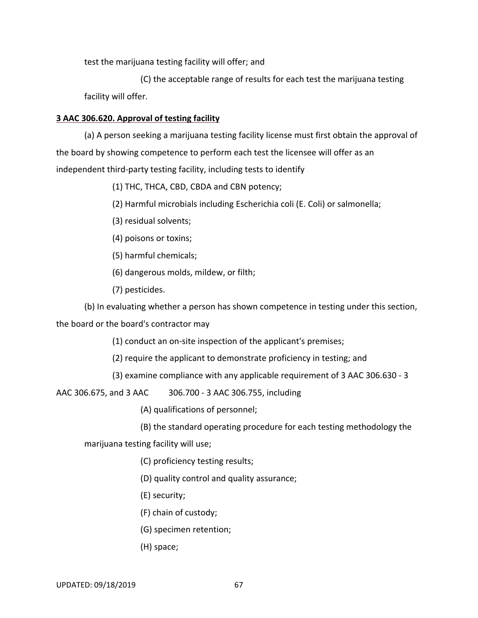test the marijuana testing facility will offer; and

(C) the acceptable range of results for each test the marijuana testing facility will offer.

# **3 AAC 306.620. Approval of testing facility**

(a) A person seeking a marijuana testing facility license must first obtain the approval of the board by showing competence to perform each test the licensee will offer as an independent third‐party testing facility, including tests to identify

(1) THC, THCA, CBD, CBDA and CBN potency;

(2) Harmful microbials including Escherichia coli (E. Coli) or salmonella;

- (3) residual solvents;
- (4) poisons or toxins;

(5) harmful chemicals;

(6) dangerous molds, mildew, or filth;

(7) pesticides.

(b) In evaluating whether a person has shown competence in testing under this section,

the board or the board's contractor may

(1) conduct an on‐site inspection of the applicant's premises;

(2) require the applicant to demonstrate proficiency in testing; and

(3) examine compliance with any applicable requirement of 3 AAC 306.630 ‐ 3

AAC 306.675, and 3 AAC 306.700 ‐ 3 AAC 306.755, including

(A) qualifications of personnel;

(B) the standard operating procedure for each testing methodology the

marijuana testing facility will use;

- (C) proficiency testing results;
- (D) quality control and quality assurance;
- (E) security;
- (F) chain of custody;
- (G) specimen retention;
- (H) space;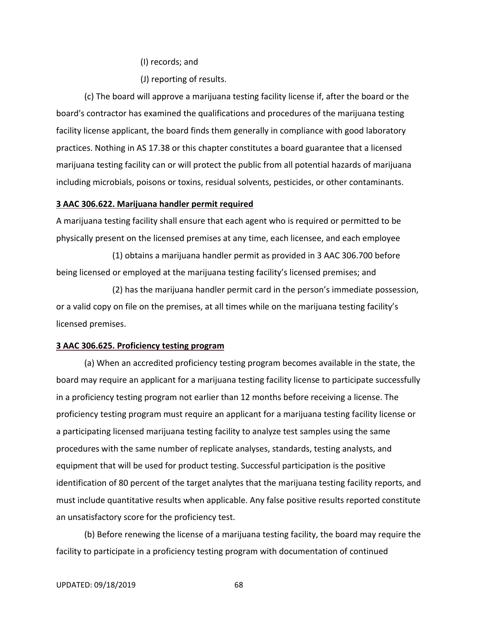(I) records; and

(J) reporting of results.

(c) The board will approve a marijuana testing facility license if, after the board or the board's contractor has examined the qualifications and procedures of the marijuana testing facility license applicant, the board finds them generally in compliance with good laboratory practices. Nothing in AS 17.38 or this chapter constitutes a board guarantee that a licensed marijuana testing facility can or will protect the public from all potential hazards of marijuana including microbials, poisons or toxins, residual solvents, pesticides, or other contaminants.

#### **3 AAC 306.622. Marijuana handler permit required**

A marijuana testing facility shall ensure that each agent who is required or permitted to be physically present on the licensed premises at any time, each licensee, and each employee

(1) obtains a marijuana handler permit as provided in 3 AAC 306.700 before being licensed or employed at the marijuana testing facility's licensed premises; and

(2) has the marijuana handler permit card in the person's immediate possession, or a valid copy on file on the premises, at all times while on the marijuana testing facility's licensed premises.

### **3 AAC 306.625. Proficiency testing program**

(a) When an accredited proficiency testing program becomes available in the state, the board may require an applicant for a marijuana testing facility license to participate successfully in a proficiency testing program not earlier than 12 months before receiving a license. The proficiency testing program must require an applicant for a marijuana testing facility license or a participating licensed marijuana testing facility to analyze test samples using the same procedures with the same number of replicate analyses, standards, testing analysts, and equipment that will be used for product testing. Successful participation is the positive identification of 80 percent of the target analytes that the marijuana testing facility reports, and must include quantitative results when applicable. Any false positive results reported constitute an unsatisfactory score for the proficiency test.

(b) Before renewing the license of a marijuana testing facility, the board may require the facility to participate in a proficiency testing program with documentation of continued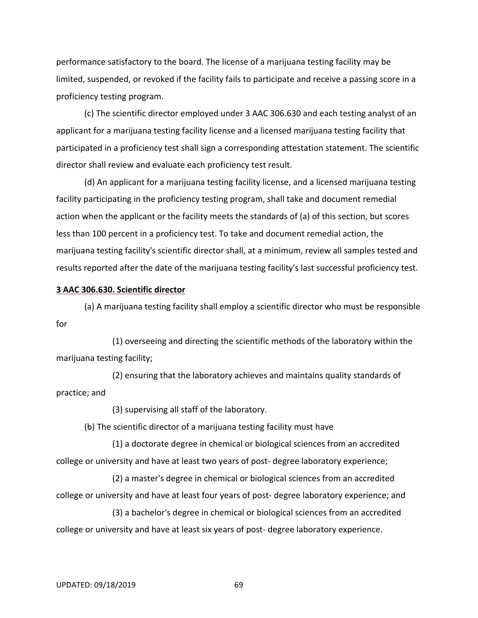performance satisfactory to the board. The license of a marijuana testing facility may be limited, suspended, or revoked if the facility fails to participate and receive a passing score in a proficiency testing program.

(c) The scientific director employed under 3 AAC 306.630 and each testing analyst of an applicant for a marijuana testing facility license and a licensed marijuana testing facility that participated in a proficiency test shall sign a corresponding attestation statement. The scientific director shall review and evaluate each proficiency test result.

(d) An applicant for a marijuana testing facility license, and a licensed marijuana testing facility participating in the proficiency testing program, shall take and document remedial action when the applicant or the facility meets the standards of (a) of this section, but scores less than 100 percent in a proficiency test. To take and document remedial action, the marijuana testing facility's scientific director shall, at a minimum, review all samples tested and results reported after the date of the marijuana testing facility's last successful proficiency test.

### **3 AAC 306.630. Scientific director**

(a) A marijuana testing facility shall employ a scientific director who must be responsible for

(1) overseeing and directing the scientific methods of the laboratory within the marijuana testing facility;

(2) ensuring that the laboratory achieves and maintains quality standards of practice; and

(3) supervising all staff of the laboratory.

(b) The scientific director of a marijuana testing facility must have

(1) a doctorate degree in chemical or biological sciences from an accredited college or university and have at least two years of post-degree laboratory experience;

(2) a master's degree in chemical or biological sciences from an accredited college or university and have at least four years of post‐ degree laboratory experience; and

(3) a bachelor's degree in chemical or biological sciences from an accredited college or university and have at least six years of post-degree laboratory experience.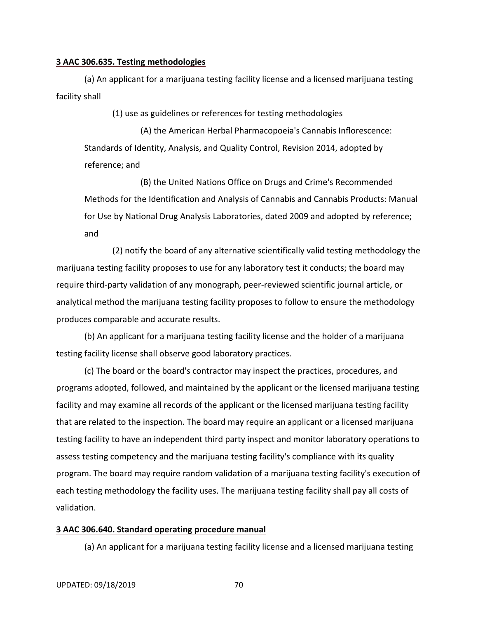### **3 AAC 306.635. Testing methodologies**

(a) An applicant for a marijuana testing facility license and a licensed marijuana testing facility shall

(1) use as guidelines or references for testing methodologies

(A) the American Herbal Pharmacopoeia's Cannabis Inflorescence: Standards of Identity, Analysis, and Quality Control, Revision 2014, adopted by reference; and

(B) the United Nations Office on Drugs and Crime's Recommended Methods for the Identification and Analysis of Cannabis and Cannabis Products: Manual for Use by National Drug Analysis Laboratories, dated 2009 and adopted by reference; and

(2) notify the board of any alternative scientifically valid testing methodology the marijuana testing facility proposes to use for any laboratory test it conducts; the board may require third‐party validation of any monograph, peer‐reviewed scientific journal article, or analytical method the marijuana testing facility proposes to follow to ensure the methodology produces comparable and accurate results.

(b) An applicant for a marijuana testing facility license and the holder of a marijuana testing facility license shall observe good laboratory practices.

(c) The board or the board's contractor may inspect the practices, procedures, and programs adopted, followed, and maintained by the applicant or the licensed marijuana testing facility and may examine all records of the applicant or the licensed marijuana testing facility that are related to the inspection. The board may require an applicant or a licensed marijuana testing facility to have an independent third party inspect and monitor laboratory operations to assess testing competency and the marijuana testing facility's compliance with its quality program. The board may require random validation of a marijuana testing facility's execution of each testing methodology the facility uses. The marijuana testing facility shall pay all costs of validation.

#### **3 AAC 306.640. Standard operating procedure manual**

(a) An applicant for a marijuana testing facility license and a licensed marijuana testing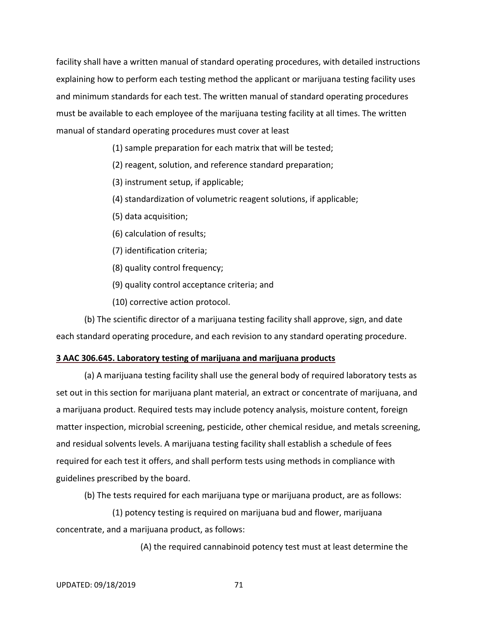facility shall have a written manual of standard operating procedures, with detailed instructions explaining how to perform each testing method the applicant or marijuana testing facility uses and minimum standards for each test. The written manual of standard operating procedures must be available to each employee of the marijuana testing facility at all times. The written manual of standard operating procedures must cover at least

- (1) sample preparation for each matrix that will be tested;
- (2) reagent, solution, and reference standard preparation;
- (3) instrument setup, if applicable;
- (4) standardization of volumetric reagent solutions, if applicable;
- (5) data acquisition;
- (6) calculation of results;
- (7) identification criteria;
- (8) quality control frequency;
- (9) quality control acceptance criteria; and
- (10) corrective action protocol.

(b) The scientific director of a marijuana testing facility shall approve, sign, and date each standard operating procedure, and each revision to any standard operating procedure.

# **3 AAC 306.645. Laboratory testing of marijuana and marijuana products**

(a) A marijuana testing facility shall use the general body of required laboratory tests as set out in this section for marijuana plant material, an extract or concentrate of marijuana, and a marijuana product. Required tests may include potency analysis, moisture content, foreign matter inspection, microbial screening, pesticide, other chemical residue, and metals screening, and residual solvents levels. A marijuana testing facility shall establish a schedule of fees required for each test it offers, and shall perform tests using methods in compliance with guidelines prescribed by the board.

(b) The tests required for each marijuana type or marijuana product, are as follows:

(1) potency testing is required on marijuana bud and flower, marijuana concentrate, and a marijuana product, as follows:

(A) the required cannabinoid potency test must at least determine the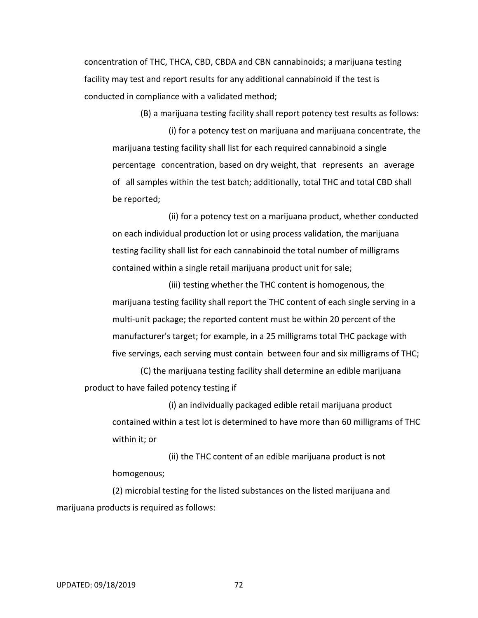concentration of THC, THCA, CBD, CBDA and CBN cannabinoids; a marijuana testing facility may test and report results for any additional cannabinoid if the test is conducted in compliance with a validated method;

(B) a marijuana testing facility shall report potency test results as follows: (i) for a potency test on marijuana and marijuana concentrate, the marijuana testing facility shall list for each required cannabinoid a single percentage concentration, based on dry weight, that represents an average of all samples within the test batch; additionally, total THC and total CBD shall be reported;

(ii) for a potency test on a marijuana product, whether conducted on each individual production lot or using process validation, the marijuana testing facility shall list for each cannabinoid the total number of milligrams contained within a single retail marijuana product unit for sale;

(iii) testing whether the THC content is homogenous, the marijuana testing facility shall report the THC content of each single serving in a multi‐unit package; the reported content must be within 20 percent of the manufacturer's target; for example, in a 25 milligrams total THC package with five servings, each serving must contain between four and six milligrams of THC;

(C) the marijuana testing facility shall determine an edible marijuana product to have failed potency testing if

(i) an individually packaged edible retail marijuana product contained within a test lot is determined to have more than 60 milligrams of THC within it; or

(ii) the THC content of an edible marijuana product is not homogenous;

(2) microbial testing for the listed substances on the listed marijuana and marijuana products is required as follows: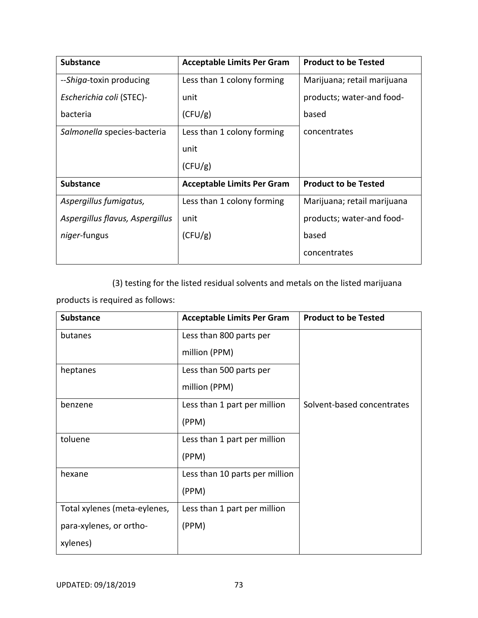| <b>Substance</b>                | <b>Acceptable Limits Per Gram</b> | <b>Product to be Tested</b> |
|---------------------------------|-----------------------------------|-----------------------------|
| --Shiga-toxin producing         | Less than 1 colony forming        | Marijuana; retail marijuana |
| Escherichia coli (STEC)-        | unit                              | products; water-and food-   |
| bacteria                        | (CFU/g)                           | based                       |
| Salmonella species-bacteria     | Less than 1 colony forming        | concentrates                |
|                                 | unit                              |                             |
|                                 | (CFU/g)                           |                             |
| <b>Substance</b>                | <b>Acceptable Limits Per Gram</b> | <b>Product to be Tested</b> |
| Aspergillus fumigatus,          | Less than 1 colony forming        | Marijuana; retail marijuana |
| Aspergillus flavus, Aspergillus | unit                              | products; water-and food-   |
| niger-fungus                    | (CFU/g)                           | based                       |
|                                 |                                   | concentrates                |

(3) testing for the listed residual solvents and metals on the listed marijuana

products is required as follows:

| <b>Substance</b>             | <b>Acceptable Limits Per Gram</b> | <b>Product to be Tested</b> |
|------------------------------|-----------------------------------|-----------------------------|
| butanes                      | Less than 800 parts per           |                             |
|                              | million (PPM)                     |                             |
| heptanes                     | Less than 500 parts per           |                             |
|                              | million (PPM)                     |                             |
| benzene                      | Less than 1 part per million      | Solvent-based concentrates  |
|                              | (PPM)                             |                             |
| toluene                      | Less than 1 part per million      |                             |
|                              | (PPM)                             |                             |
| hexane                       | Less than 10 parts per million    |                             |
|                              | (PPM)                             |                             |
| Total xylenes (meta-eylenes, | Less than 1 part per million      |                             |
| para-xylenes, or ortho-      | (PPM)                             |                             |
| xylenes)                     |                                   |                             |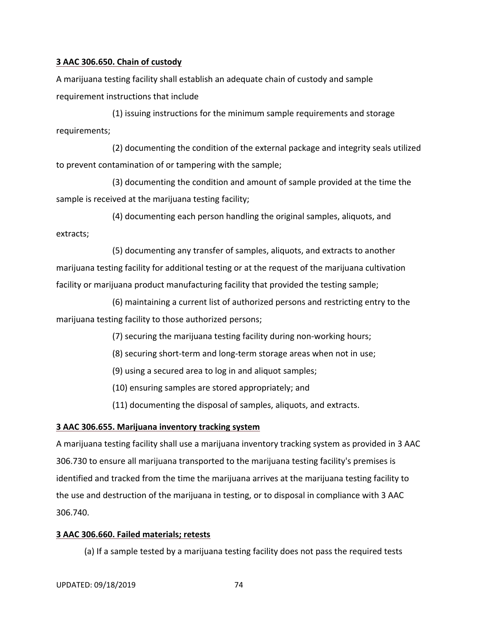# **3 AAC 306.650. Chain of custody**

A marijuana testing facility shall establish an adequate chain of custody and sample requirement instructions that include

(1) issuing instructions for the minimum sample requirements and storage requirements;

(2) documenting the condition of the external package and integrity seals utilized to prevent contamination of or tampering with the sample;

(3) documenting the condition and amount of sample provided at the time the sample is received at the marijuana testing facility;

(4) documenting each person handling the original samples, aliquots, and extracts;

(5) documenting any transfer of samples, aliquots, and extracts to another marijuana testing facility for additional testing or at the request of the marijuana cultivation facility or marijuana product manufacturing facility that provided the testing sample;

(6) maintaining a current list of authorized persons and restricting entry to the marijuana testing facility to those authorized persons;

(7) securing the marijuana testing facility during non‐working hours;

(8) securing short‐term and long‐term storage areas when not in use;

(9) using a secured area to log in and aliquot samples;

(10) ensuring samples are stored appropriately; and

(11) documenting the disposal of samples, aliquots, and extracts.

# **3 AAC 306.655. Marijuana inventory tracking system**

A marijuana testing facility shall use a marijuana inventory tracking system as provided in 3 AAC 306.730 to ensure all marijuana transported to the marijuana testing facility's premises is identified and tracked from the time the marijuana arrives at the marijuana testing facility to the use and destruction of the marijuana in testing, or to disposal in compliance with 3 AAC 306.740.

# **3 AAC 306.660. Failed materials; retests**

(a) If a sample tested by a marijuana testing facility does not pass the required tests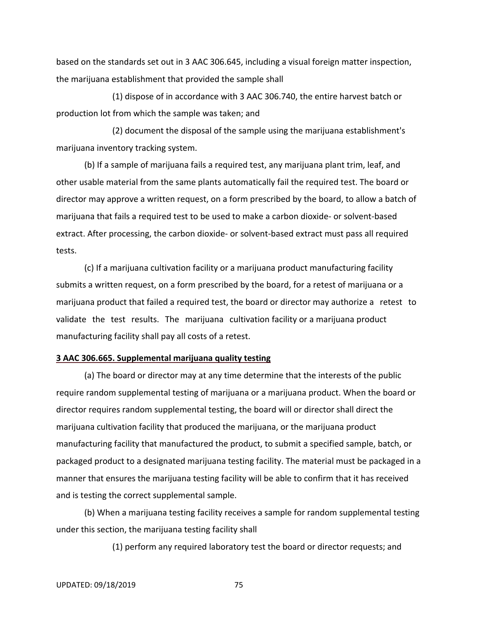based on the standards set out in 3 AAC 306.645, including a visual foreign matter inspection, the marijuana establishment that provided the sample shall

(1) dispose of in accordance with 3 AAC 306.740, the entire harvest batch or production lot from which the sample was taken; and

(2) document the disposal of the sample using the marijuana establishment's marijuana inventory tracking system.

(b) If a sample of marijuana fails a required test, any marijuana plant trim, leaf, and other usable material from the same plants automatically fail the required test. The board or director may approve a written request, on a form prescribed by the board, to allow a batch of marijuana that fails a required test to be used to make a carbon dioxide‐ or solvent‐based extract. After processing, the carbon dioxide‐ or solvent‐based extract must pass all required tests.

(c) If a marijuana cultivation facility or a marijuana product manufacturing facility submits a written request, on a form prescribed by the board, for a retest of marijuana or a marijuana product that failed a required test, the board or director may authorize a retest to validate the test results. The marijuana cultivation facility or a marijuana product manufacturing facility shall pay all costs of a retest.

### **3 AAC 306.665. Supplemental marijuana quality testing**

(a) The board or director may at any time determine that the interests of the public require random supplemental testing of marijuana or a marijuana product. When the board or director requires random supplemental testing, the board will or director shall direct the marijuana cultivation facility that produced the marijuana, or the marijuana product manufacturing facility that manufactured the product, to submit a specified sample, batch, or packaged product to a designated marijuana testing facility. The material must be packaged in a manner that ensures the marijuana testing facility will be able to confirm that it has received and is testing the correct supplemental sample.

(b) When a marijuana testing facility receives a sample for random supplemental testing under this section, the marijuana testing facility shall

(1) perform any required laboratory test the board or director requests; and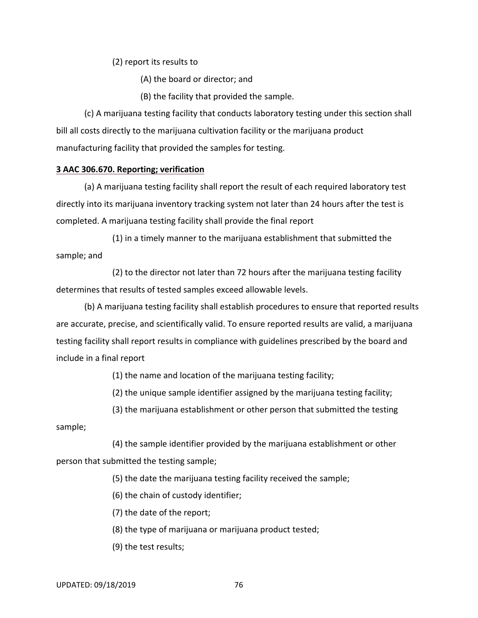(2) report its results to

(A) the board or director; and

(B) the facility that provided the sample.

(c) A marijuana testing facility that conducts laboratory testing under this section shall bill all costs directly to the marijuana cultivation facility or the marijuana product manufacturing facility that provided the samples for testing.

### **3 AAC 306.670. Reporting; verification**

(a) A marijuana testing facility shall report the result of each required laboratory test directly into its marijuana inventory tracking system not later than 24 hours after the test is completed. A marijuana testing facility shall provide the final report

(1) in a timely manner to the marijuana establishment that submitted the sample; and

(2) to the director not later than 72 hours after the marijuana testing facility determines that results of tested samples exceed allowable levels.

(b) A marijuana testing facility shall establish procedures to ensure that reported results are accurate, precise, and scientifically valid. To ensure reported results are valid, a marijuana testing facility shall report results in compliance with guidelines prescribed by the board and include in a final report

(1) the name and location of the marijuana testing facility;

(2) the unique sample identifier assigned by the marijuana testing facility;

(3) the marijuana establishment or other person that submitted the testing

sample;

(4) the sample identifier provided by the marijuana establishment or other person that submitted the testing sample;

(5) the date the marijuana testing facility received the sample;

(6) the chain of custody identifier;

(7) the date of the report;

(8) the type of marijuana or marijuana product tested;

(9) the test results;